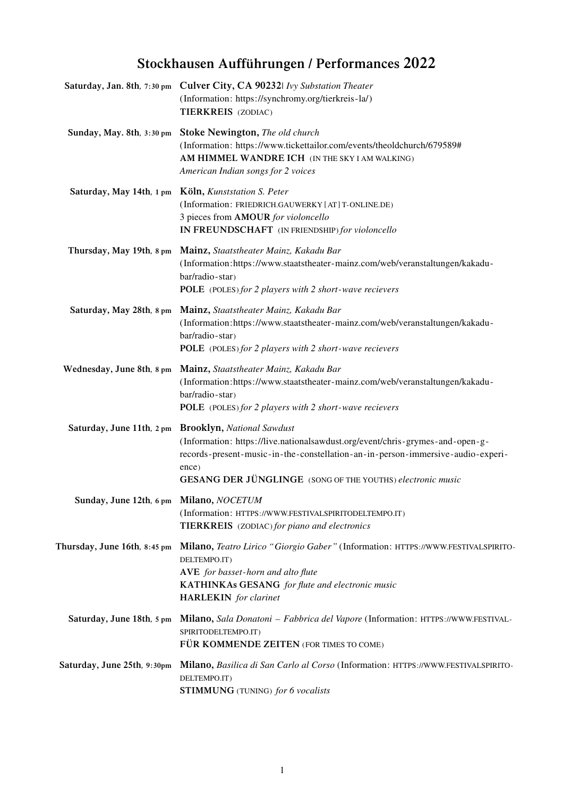# Stockhausen Aufführungen / Performances 2022

|                                         | Saturday, Jan. 8th, 7:30 pm Culver City, CA 902321 Ivy Substation Theater<br>(Information: https://synchromy.org/tierkreis-la/)<br>TIERKREIS (ZODIAC)                                                                                                                               |
|-----------------------------------------|-------------------------------------------------------------------------------------------------------------------------------------------------------------------------------------------------------------------------------------------------------------------------------------|
| Sunday, May. 8th, 3:30 pm               | <b>Stoke Newington, The old church</b><br>(Information: https://www.tickettailor.com/events/theoldchurch/679589#<br>AM HIMMEL WANDRE ICH (IN THE SKY I AM WALKING)<br>American Indian songs for 2 voices                                                                            |
| Saturday, May 14th, 1 pm                | Köln, Kunststation S. Peter<br>(Information: FRIEDRICH.GAUWERKY [AT] T-ONLINE.DE)<br>3 pieces from AMOUR for violoncello<br>IN FREUNDSCHAFT (IN FRIENDSHIP) for violoncello                                                                                                         |
| Thursday, May 19th, 8 pm                | Mainz, Staatstheater Mainz, Kakadu Bar<br>(Information:https://www.staatstheater-mainz.com/web/veranstaltungen/kakadu-<br>bar/radio-star)<br>POLE (POLES) for 2 players with 2 short-wave recievers                                                                                 |
| Saturday, May 28th, 8 pm                | Mainz, Staatstheater Mainz, Kakadu Bar<br>(Information:https://www.staatstheater-mainz.com/web/veranstaltungen/kakadu-<br>bar/radio-star)<br><b>POLE</b> (POLES) for 2 players with 2 short-wave recievers                                                                          |
| Wednesday, June 8th, 8 pm               | Mainz, Staatstheater Mainz, Kakadu Bar<br>(Information:https://www.staatstheater-mainz.com/web/veranstaltungen/kakadu-<br>bar/radio-star)<br><b>POLE</b> (POLES) for 2 players with 2 short-wave recievers                                                                          |
| Saturday, June 11th, 2 pm               | <b>Brooklyn, National Sawdust</b><br>(Information: https://live.nationalsawdust.org/event/chris-grymes-and-open-g-<br>records-present-music-in-the-constellation-an-in-person-immersive-audio-experi-<br>ence)<br><b>GESANG DER JÜNGLINGE</b> (SONG OF THE YOUTHS) electronic music |
| Sunday, June 12th, 6 pm Milano, NOCETUM | (Information: HTTPS://WWW.FESTIVALSPIRITODELTEMPO.IT)<br>TIERKREIS (ZODIAC) for piano and electronics                                                                                                                                                                               |
| Thursday, June 16th, 8:45 pm            | Milano, Teatro Lirico "Giorgio Gaber" (Information: HTTPS://WWW.FESTIVALSPIRITO-<br>DELTEMPO.IT)<br>AVE for basset-horn and alto flute<br><b>KATHINKAs GESANG</b> for flute and electronic music<br><b>HARLEKIN</b> for clarinet                                                    |
| Saturday, June 18th, 5 pm               | Milano, Sala Donatoni - Fabbrica del Vapore (Information: HTTPS://WWW.FESTIVAL-<br>SPIRITODELTEMPO.IT)<br>FÜR KOMMENDE ZEITEN (FOR TIMES TO COME)                                                                                                                                   |
| Saturday, June 25th, 9:30pm             | Milano, Basilica di San Carlo al Corso (Information: HTTPS://WWW.FESTIVALSPIRITO-<br>DELTEMPO.IT)<br>STIMMUNG (TUNING) for 6 vocalists                                                                                                                                              |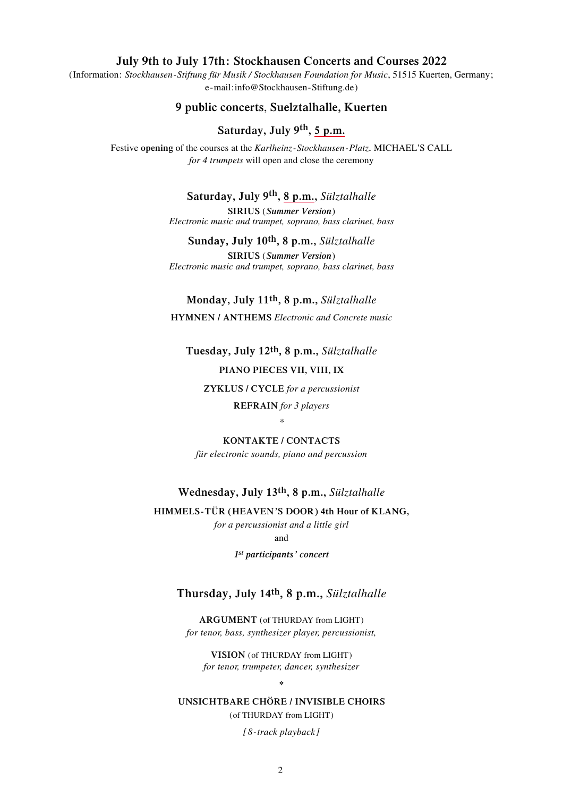#### **July 9th to July 17th: Stockhausen Concerts and Courses 2022**

(Information: *Stockhausen-Stiftung für Musik / Stockhausen Foundation for Music*, 51515 Kuerten, Germany; e-mail:info@Stockhausen-Stiftung.de)

#### **9 public concerts**, **Suelztalhalle, Kuerten**

#### **Saturday, July 9th, 5 p.m.**

Festive **opening** of the courses at the *Karlheinz-Stockhausen-Platz***.** MICHAEL'S CALL *for 4 trumpets* will open and close the ceremony

#### **Saturday, July 9th, 8 p.m.,** *Sülztalhalle*

**SIRIUS** (*Summer Version*) *Electronic music and trumpet, soprano, bass clarinet, bass*

**Sunday, July 10th, 8 p.m.,** *Sülztalhalle* **SIRIUS** (*Summer Version*) *Electronic music and trumpet, soprano, bass clarinet, bass*

**Monday, July 11th, 8 p.m.,** *Sülztalhalle* **HYMNEN / ANTHEMS** *Electronic and Concrete music*

**Tuesday, July 12th, 8 p.m.,** *Sülztalhalle* **PIANO PIECES VII, VIII, IX**

**ZYKLUS / CYCLE** *for a percussionist*

**REFRAIN** *for 3 players* 

#### *\**

**KONTAKTE / CONTACTS** *für electronic sounds, piano and percussion*

#### **Wednesday, July 13th, 8 p.m.,** *Sülztalhalle*

**HIMMELS-TÜR (HEAVEN'S DOOR) 4th Hour of KLANG,**  *for a percussionist and a little girl*

and

*1st participants' concert*

#### **Thursday, July 14th, 8 p.m.,** *Sülztalhalle*

**ARGUMENT** (of THURDAY from LIGHT) *for tenor, bass, synthesizer player, percussionist,* 

**VISION** (of THURDAY from LIGHT) *for tenor, trumpeter, dancer, synthesizer*

**\***

#### **UNSICHTBARE CHÖRE / INVISIBLE CHOIRS**

(of THURDAY from LIGHT)

*[8-track playback]*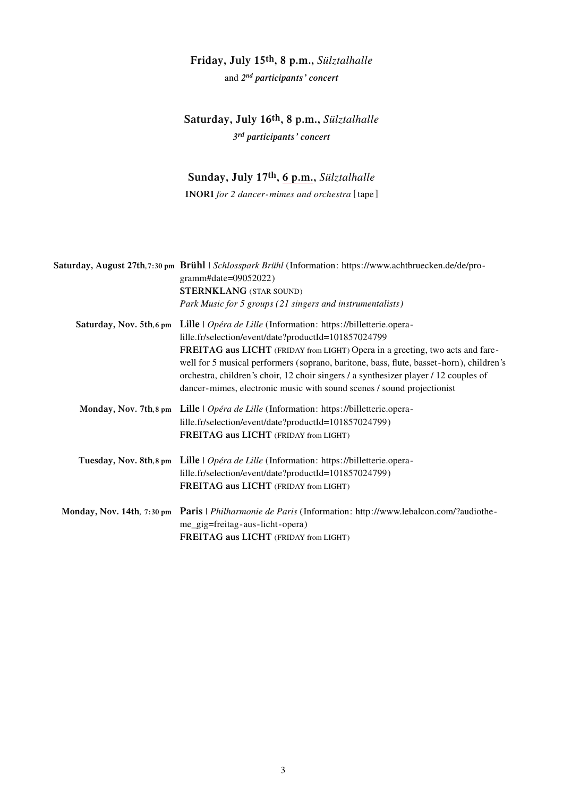### **Friday, July 15th, 8 p.m.,** *Sülztalhalle*

and *2nd participants' concert*

### **Saturday, July 16th, 8 p.m.,** *Sülztalhalle 3rd participants' concert*

### **Sunday, July 17th, 6 p.m.,** *Sülztalhalle*

**INORI** *for 2 dancer-mimes and orchestra* [tape]

|  | Saturday, August 27th, 7:30 pm Brühl   Schlosspark Brühl (Information: https://www.achtbruecken.de/de/pro-<br>gramm#date=09052022) |
|--|------------------------------------------------------------------------------------------------------------------------------------|
|  | <b>STERNKLANG (STAR SOUND)</b>                                                                                                     |
|  | Park Music for 5 groups (21 singers and instrumentalists)                                                                          |
|  | Saturday, Nov. 5th,6 pm Lille   Opéra de Lille (Information: https://billetterie.opera-                                            |
|  | lille.fr/selection/event/date?productId=101857024799                                                                               |
|  | FREITAG aus LICHT (FRIDAY from LIGHT) Opera in a greeting, two acts and fare-                                                      |
|  | well for 5 musical performers (soprano, baritone, bass, flute, basset-horn), children's                                            |
|  | orchestra, children's choir, 12 choir singers / a synthesizer player / 12 couples of                                               |
|  | dancer-mimes, electronic music with sound scenes / sound projectionist                                                             |
|  | Monday, Nov. 7th, 8 pm Lille   Opéra de Lille (Information: https://billetterie.opera-                                             |
|  | lille.fr/selection/event/date?productId=101857024799)                                                                              |
|  | FREITAG aus LICHT (FRIDAY from LIGHT)                                                                                              |
|  | Tuesday, Nov. 8th, 8 pm Lille   Opéra de Lille (Information: https://billetterie.opera-                                            |
|  | lille.fr/selection/event/date?productId=101857024799)                                                                              |
|  | FREITAG aus LICHT (FRIDAY from LIGHT)                                                                                              |
|  | Monday, Nov. 14th, 7:30 pm Paris   Philharmonie de Paris (Information: http://www.lebalcon.com/?audiothe-                          |
|  | me_gig=freitag-aus-licht-opera)                                                                                                    |
|  | FREITAG aus LICHT (FRIDAY from LIGHT)                                                                                              |
|  |                                                                                                                                    |